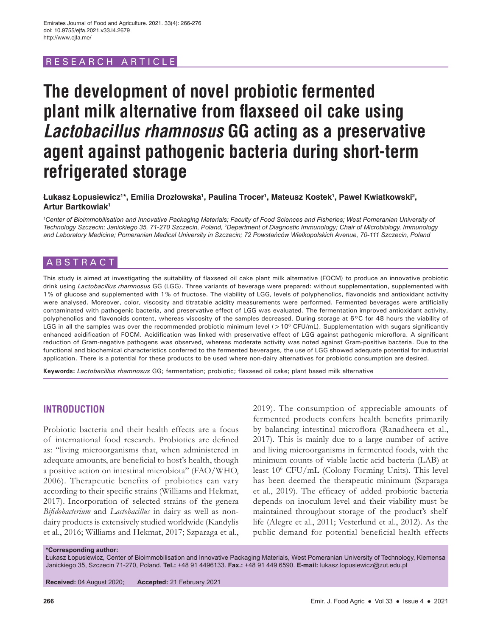# RESEARCH ARTICLE

# **The development of novel probiotic fermented plant milk alternative from flaxseed oil cake using**  *Lactobacillus rhamnosus* **GG acting as a preservative agent against pathogenic bacteria during short-term refrigerated storage**

 $\boldsymbol{\mathsf{L}}$ ukasz Łopusiewicz'\*, Emilia Drozłowska<sup>1</sup>, Paulina Trocer<sup>ı</sup>, Mateusz Kostek<sup>ı</sup>, Paweł Kwiatkowski<sup>2</sup>, **Artur Bartkowiak<sup>1</sup>**

*1 Center of Bioimmobilisation and Innovative Packaging Materials; Faculty of Food Sciences and Fisheries; West Pomeranian University of Technology Szczecin; Janickiego 35, 71-270 Szczecin, Poland, 2 Department of Diagnostic Immunology; Chair of Microbiology, Immunology and Laboratory Medicine; Pomeranian Medical University in Szczecin; 72 Powstańców Wielkopolskich Avenue, 70-111 Szczecin, Poland*

# ABSTRACT

This study is aimed at investigating the suitability of flaxseed oil cake plant milk alternative (FOCM) to produce an innovative probiotic drink using *Lactobacillus rhamnosus* GG (LGG). Three variants of beverage were prepared: without supplementation, supplemented with 1% of glucose and supplemented with 1% of fructose. The viability of LGG, levels of polyphenolics, flavonoids and antioxidant activity were analysed. Moreover, color, viscosity and titratable acidity measurements were performed. Fermented beverages were artificially contaminated with pathogenic bacteria, and preservative effect of LGG was evaluated. The fermentation improved antioxidant activity, polyphenolics and flavonoids content, whereas viscosity of the samples decreased. During storage at 6°C for 48 hours the viability of LGG in all the samples was over the recommended probiotic minimum level ( $>10^6$  CFU/mL). Supplementation with sugars significantly enhanced acidification of FOCM. Acidification was linked with preservative effect of LGG against pathogenic microflora. A significant reduction of Gram-negative pathogens was observed, whereas moderate activity was noted against Gram-positive bacteria. Due to the functional and biochemical characteristics conferred to the fermented beverages, the use of LGG showed adequate potential for industrial application. There is a potential for these products to be used where non-dairy alternatives for probiotic consumption are desired.

**Keywords:** *Lactobacillus rhamnosus* GG; fermentation; probiotic; flaxseed oil cake; plant based milk alternative

# **INTRODUCTION**

Probiotic bacteria and their health effects are a focus of international food research. Probiotics are defined as: "living microorganisms that, when administered in adequate amounts, are beneficial to host's health, though a positive action on intestinal microbiota" (FAO/WHO, 2006). Therapeutic benefits of probiotics can vary according to their specific strains (Williams and Hekmat, 2017). Incorporation of selected strains of the genera *Bifidobacterium* and *Lactobacillus* in dairy as well as nondairy products is extensively studied worldwide (Kandylis et al., 2016; Williams and Hekmat, 2017; Szparaga et al.,

2019). The consumption of appreciable amounts of fermented products confers health benefits primarily by balancing intestinal microflora (Ranadheera et al., 2017). This is mainly due to a large number of active and living microorganisms in fermented foods, with the minimum counts of viable lactic acid bacteria (LAB) at least 106 CFU/mL (Colony Forming Units). This level has been deemed the therapeutic minimum (Szparaga et al., 2019). The efficacy of added probiotic bacteria depends on inoculum level and their viability must be maintained throughout storage of the product's shelf life (Alegre et al., 2011; Vesterlund et al., 2012). As the public demand for potential beneficial health effects

**\*Corresponding author:**

Łukasz Łopusiewicz, Center of Bioimmobilisation and Innovative Packaging Materials, West Pomeranian University of Technology, Klemensa Janickiego 35, Szczecin 71-270, Poland. **Tel.:** +48 91 4496133. **Fax.:** +48 91 449 6590. **E-mail:** lukasz.lopusiewicz@zut.edu.pl

**Received:** 04 August 2020; **Accepted:** 21 February 2021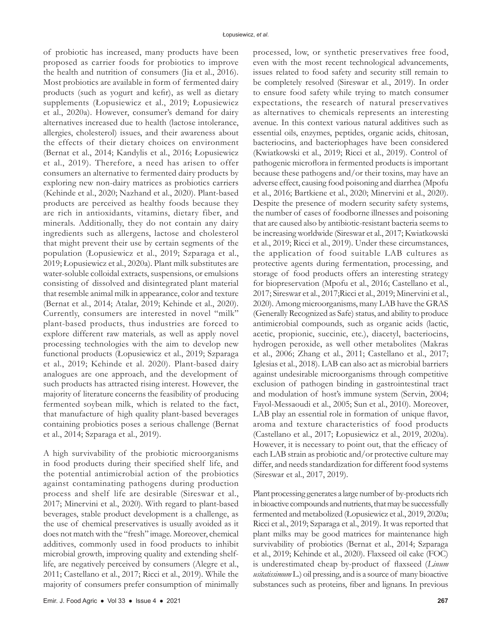of probiotic has increased, many products have been proposed as carrier foods for probiotics to improve the health and nutrition of consumers (Jia et al., 2016). Most probiotics are available in form of fermented dairy products (such as yogurt and kefir), as well as dietary supplements (Łopusiewicz et al., 2019; Łopusiewicz et al., 2020a). However, consumer's demand for dairy alternatives increased due to health (lactose intolerance, allergies, cholesterol) issues, and their awareness about the effects of their dietary choices on environment (Bernat et al., 2014; Kandylis et al., 2016; Łopusiewicz et al., 2019). Therefore, a need has arisen to offer consumers an alternative to fermented dairy products by exploring new non-dairy matrices as probiotics carriers (Kehinde et al., 2020; Nazhand et al., 2020). Plant-based products are perceived as healthy foods because they are rich in antioxidants, vitamins, dietary fiber, and minerals. Additionally, they do not contain any dairy ingredients such as allergens, lactose and cholesterol that might prevent their use by certain segments of the population (Łopusiewicz et al., 2019; Szparaga et al., 2019; Łopusiewicz et al., 2020a). Plant milk substitutes are water-soluble colloidal extracts, suspensions, or emulsions consisting of dissolved and disintegrated plant material that resemble animal milk in appearance, color and texture (Bernat et al., 2014; Atalar, 2019; Kehinde et al., 2020). Currently, consumers are interested in novel "milk" plant-based products, thus industries are forced to explore different raw materials, as well as apply novel processing technologies with the aim to develop new functional products (Łopusiewicz et al., 2019; Szparaga et al., 2019; Kehinde et al. 2020). Plant-based dairy analogues are one approach, and the development of such products has attracted rising interest. However, the majority of literature concerns the feasibility of producing fermented soybean milk, which is related to the fact, that manufacture of high quality plant-based beverages containing probiotics poses a serious challenge (Bernat et al., 2014; Szparaga et al., 2019).

A high survivability of the probiotic microorganisms in food products during their specified shelf life, and the potential antimicrobial action of the probiotics against contaminating pathogens during production process and shelf life are desirable (Sireswar et al., 2017; Minervini et al., 2020). With regard to plant-based beverages, stable product development is a challenge, as the use of chemical preservatives is usually avoided as it does not match with the "fresh" image. Moreover, chemical additives, commonly used in food products to inhibit microbial growth, improving quality and extending shelflife, are negatively perceived by consumers (Alegre et al., 2011; Castellano et al., 2017; Ricci et al., 2019). While the majority of consumers prefer consumption of minimally processed, low, or synthetic preservatives free food, even with the most recent technological advancements, issues related to food safety and security still remain to be completely resolved (Sireswar et al., 2019). In order to ensure food safety while trying to match consumer expectations, the research of natural preservatives as alternatives to chemicals represents an interesting avenue. In this context various natural additives such as essential oils, enzymes, peptides, organic acids, chitosan, bacteriocins, and bacteriophages have been considered (Kwiatkowski et al., 2019; Ricci et al., 2019). Control of pathogenic microflora in fermented products is important because these pathogens and/or their toxins, may have an adverse effect, causing food poisoning and diarrhea (Mpofu et al., 2016; Bartkiene et al., 2020; Minervini et al., 2020). Despite the presence of modern security safety systems, the number of cases of foodborne illnesses and poisoning that are caused also by antibiotic-resistant bacteria seems to be increasing worldwide (Sireswar et al., 2017; Kwiatkowski et al., 2019; Ricci et al., 2019). Under these circumstances, the application of food suitable LAB cultures as protective agents during fermentation, processing, and storage of food products offers an interesting strategy for biopreservation (Mpofu et al., 2016; Castellano et al., 2017; Sireswar et al., 2017;Ricci et al., 2019; Minervini et al., 2020). Among microorganisms, many LAB have the GRAS (Generally Recognized as Safe) status, and ability to produce antimicrobial compounds, such as organic acids (lactic, acetic, propionic, succinic, etc.), diacetyl, bacteriocins, hydrogen peroxide, as well other metabolites (Makras et al., 2006; Zhang et al., 2011; Castellano et al., 2017; Iglesias et al., 2018). LAB can also act as microbial barriers against undesirable microorganisms through competitive exclusion of pathogen binding in gastrointestinal tract and modulation of host's immune system (Servin, 2004; Fayol-Messaoudi et al., 2005; Sun et al., 2010). Moreover, LAB play an essential role in formation of unique flavor, aroma and texture characteristics of food products (Castellano et al., 2017; Łopusiewicz et al., 2019, 2020a). However, it is necessary to point out, that the efficacy of each LAB strain as probiotic and/or protective culture may differ, and needs standardization for different food systems (Sireswar et al., 2017, 2019).

Plant processing generates a large number of by-products rich in bioactive compounds and nutrients, that may be successfully fermented and metabolized (Łopusiewicz et al., 2019, 2020a; Ricci et al., 2019; Szparaga et al., 2019). It was reported that plant milks may be good matrices for maintenance high survivability of probiotics (Bernat et al., 2014; Szparaga et al., 2019; Kehinde et al., 2020). Flaxseed oil cake (FOC) is underestimated cheap by-product of flaxseed (*Linum usitatissimum* L.) oil pressing, and is a source of many bioactive substances such as proteins, fiber and lignans. In previous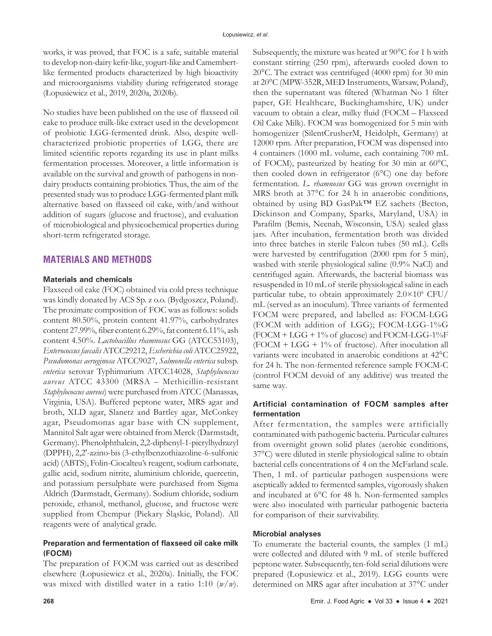works, it was proved, that FOC is a safe, suitable material to develop non-dairy kefir-like, yogurt-like and Camembertlike fermented products characterized by high bioactivity and microorganisms viability during refrigerated storage (Łopusiewicz et al., 2019, 2020a, 2020b).

No studies have been published on the use of flaxseed oil cake to produce milk-like extract used in the development of probiotic LGG-fermented drink. Also, despite wellcharacterized probiotic properties of LGG, there are limited scientific reports regarding its use in plant milks fermentation processes. Moreover, a little information is available on the survival and growth of pathogens in nondairy products containing probiotics. Thus, the aim of the presented study was to produce LGG-fermented plant milk alternative based on flaxseed oil cake, with/and without addition of sugars (glucose and fructose), and evaluation of microbiological and physicochemical properties during short-term refrigerated storage.

# **MATERIALS AND METHODS**

## **Materials and chemicals**

Flaxseed oil cake (FOC) obtained via cold press technique was kindly donated by ACS Sp. z o.o. (Bydgoszcz, Poland). The proximate composition of FOC was as follows: solids content 80.50%, protein content 41.97%, carbohydrates content 27.99%, fiber content 6.29%, fat content 6.11%, ash content 4.50%. *Lactobacillus rhamnosus* GG (ATCC53103), *Enterococcus faecalis* ATCC29212, *Escherichia coli* ATCC25922, *Pseudomonas aeruginosa* ATCC9027, *Salmonella enterica* subsp. *enterica* serovar Typhimurium ATCC14028, *Staphylococcus aureus* ATCC 43300 (MRSA – Methicillin-resistant *Staphylococcus aureus*) were purchased from ATCC (Manassas, Virginia, USA). Buffered peptone water, MRS agar and broth, XLD agar, Slanetz and Bartley agar, McConkey agar, Pseudomonas agar base with CN supplement, Mannitol Salt agar were obtained from Merck (Darmstadt, Germany). Phenolphthalein, 2,2-diphenyl-1-picrylhydrazyl (DPPH), 2,2'-azino-bis (3-ethylbenzothiazoline-6-sulfonic acid) (ABTS), Folin-Ciocalteu's reagent, sodium carbonate, gallic acid, sodium nitrite, aluminium chloride, quercetin, and potassium persulphate were purchased from Sigma Aldrich (Darmstadt, Germany). Sodium chloride, sodium peroxide, ethanol, methanol, glucose, and fructose were supplied from Chempur (Piekary Śląskie, Poland). All reagents were of analytical grade.

## **Preparation and fermentation of flaxseed oil cake milk (FOCM)**

The preparation of FOCM was carried out as described elsewhere (Łopusiewicz et al., 2020a). Initially, the FOC was mixed with distilled water in a ratio 1:10 (*w*/*w*). Subsequently, the mixture was heated at 90°C for 1 h with constant stirring (250 rpm), afterwards cooled down to 20°C. The extract was centrifuged (4000 rpm) for 30 min at 20°C (MPW-352R, MED Instruments, Warsaw, Poland), then the supernatant was filtered (Whatman No 1 filter paper, GE Healthcare, Buckinghamshire, UK) under vacuum to obtain a clear, milky fluid (FOCM – Flaxseed Oil Cake Milk). FOCM was homogenized for 5 min with homogenizer (SilentCrusherM, Heidolph, Germany) at 12000 rpm. After preparation, FOCM was dispensed into 4 containers (1000 mL volume, each containing 700 mL of FOCM), pasteurized by heating for 30 min at 60°C, then cooled down in refrigerator (6°C) one day before fermentation. *L. rhamnosus* GG was grown overnight in MRS broth at 37°C for 24 h in anaerobic conditions, obtained by using BD GasPak™ EZ sachets (Becton, Dickinson and Company, Sparks, Maryland, USA) in Parafilm (Bemis, Neenah, Wisconsin, USA) sealed glass jars. After incubation, fermentation broth was divided into three batches in sterile Falcon tubes (50 mL). Cells were harvested by centrifugation (2000 rpm for 5 min), washed with sterile physiological saline (0.9% NaCl) and centrifuged again. Afterwards, the bacterial biomass was resuspended in 10 mL of sterile physiological saline in each particular tube, to obtain approximately 2.0×106 CFU/ mL (served as an inoculum). Three variants of fermented FOCM were prepared, and labelled as: FOCM-LGG (FOCM with addition of LGG); FOCM-LGG-1%G (FOCM + LGG + 1% of glucose) and FOCM-LGG-1%F  $(FOCM + LGG + 1\%$  of fructose). After inoculation all variants were incubated in anaerobic conditions at 42°C for 24 h. The non-fermented reference sample FOCM-C (control FOCM devoid of any additive) was treated the same way*.*

## **Artificial contamination of FOCM samples after fermentation**

After fermentation, the samples were artificially contaminated with pathogenic bacteria. Particular cultures from overnight grown solid plates (aerobic conditions, 37°C) were diluted in sterile physiological saline to obtain bacterial cells concentrations of 4 on the McFarland scale. Then, 1 mL of particular pathogen suspensions were aseptically added to fermented samples, vigorously shaken and incubated at 6°C for 48 h. Non-fermented samples were also inoculated with particular pathogenic bacteria for comparison of their survivability.

#### **Microbial analyses**

To enumerate the bacterial counts, the samples (1 mL) were collected and diluted with 9 mL of sterile buffered peptone water. Subsequently, ten-fold serial dilutions were prepared (Łopusiewicz et al., 2019). LGG counts were determined on MRS agar after incubation at 37°C under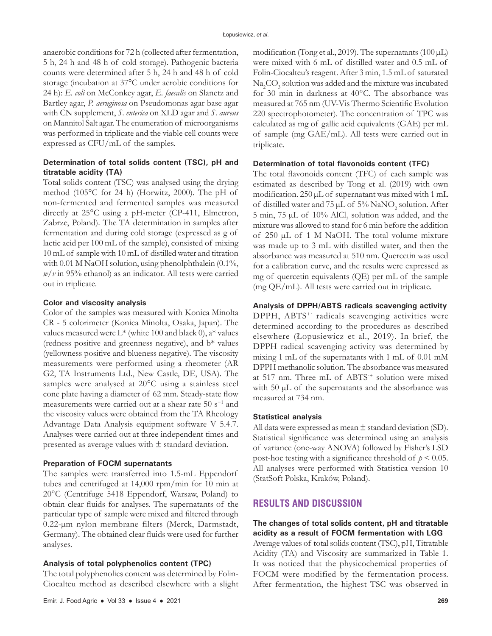anaerobic conditions for 72 h (collected after fermentation, 5 h, 24 h and 48 h of cold storage). Pathogenic bacteria counts were determined after 5 h, 24 h and 48 h of cold storage (incubation at 37°C under aerobic conditions for 24 h): *E. coli* on McConkey agar, *E. faecalis* on Slanetz and Bartley agar, *P. aeruginosa* on Pseudomonas agar base agar with CN supplement, *S. enterica* on XLD agar and *S. aureus* on Mannitol Salt agar. The enumeration of microorganisms was performed in triplicate and the viable cell counts were expressed as CFU/mL of the samples.

## **Determination of total solids content (TSC), pH and titratable acidity (TA)**

Total solids content (TSC) was analysed using the drying method (105°C for 24 h) (Horwitz, 2000). The pH of non-fermented and fermented samples was measured directly at 25°C using a pH-meter (CP-411, Elmetron, Zabrze, Poland). The TA determination in samples after fermentation and during cold storage (expressed as g of lactic acid per 100 mL of the sample), consisted of mixing 10 mL of sample with 10 mL of distilled water and titration with 0.01 M NaOH solution, using phenolphthalein (0.1%, *w*/*v* in 95% ethanol) as an indicator. All tests were carried out in triplicate.

#### **Color and viscosity analysis**

Color of the samples was measured with Konica Minolta CR - 5 colorimeter (Konica Minolta, Osaka, Japan). The values measured were  $L^*$  (white 100 and black 0),  $a^*$  values (redness positive and greenness negative), and b\* values (yellowness positive and blueness negative). The viscosity measurements were performed using a rheometer (AR G2, TA Instruments Ltd., New Castle, DE, USA). The samples were analysed at 20°C using a stainless steel cone plate having a diameter of 62 mm. Steady-state flow measurements were carried out at a shear rate 50 s−1 and the viscosity values were obtained from the TA Rheology Advantage Data Analysis equipment software V 5.4.7. Analyses were carried out at three independent times and presented as average values with  $\pm$  standard deviation.

#### **Preparation of FOCM supernatants**

The samples were transferred into 1.5-mL Eppendorf tubes and centrifuged at 14,000 rpm/min for 10 min at 20°C (Centrifuge 5418 Eppendorf, Warsaw, Poland) to obtain clear fluids for analyses. The supernatants of the particular type of sample were mixed and filtered through 0.22-µm nylon membrane filters (Merck, Darmstadt, Germany). The obtained clear fluids were used for further analyses.

#### **Analysis of total polyphenolics content (TPC)**

The total polyphenolics content was determined by Folin-Ciocalteu method as described elsewhere with a slight modification (Tong et al., 2019). The supernatants (100  $\mu$ L) were mixed with 6 mL of distilled water and 0.5 mL of Folin-Ciocalteu's reagent. After 3 min, 1.5 mL of saturated  $\mathrm{Na}_2\mathrm{CO}_3$  solution was added and the mixture was incubated for 30 min in darkness at 40°C. The absorbance was measured at 765 nm (UV-Vis Thermo Scientific Evolution 220 spectrophotometer). The concentration of TPC was calculated as mg of gallic acid equivalents (GAE) per mL of sample (mg GAE/mL). All tests were carried out in triplicate.

# **Determination of total flavonoids content (TFC)**

The total flavonoids content (TFC) of each sample was estimated as described by Tong et al. (2019) with own modification. 250 µL of supernatant was mixed with 1 mL of distilled water and  $75 \mu L$  of  $5\%$  NaNO<sub>2</sub> solution. After 5 min, 75  $\mu$ L of 10% AlCl<sub>3</sub> solution was added, and the mixture was allowed to stand for 6 min before the addition of 250 µL of 1 M NaOH. The total volume mixture was made up to 3 mL with distilled water, and then the absorbance was measured at 510 nm. Quercetin was used for a calibration curve, and the results were expressed as mg of quercetin equivalents (QE) per mL of the sample (mg QE/mL). All tests were carried out in triplicate.

# **Analysis of DPPH/ABTS radicals scavenging activity**

DPPH, ABTS<sup>+</sup> radicals scavenging activities were determined according to the procedures as described elsewhere (Łopusiewicz et al., 2019). In brief, the DPPH radical scavenging activity was determined by mixing 1 mL of the supernatants with 1 mL of 0.01 mM DPPH methanolic solution. The absorbance was measured at 517 nm. Three mL of ABTS·+ solution were mixed with 50  $\mu$ L of the supernatants and the absorbance was measured at 734 nm.

#### **Statistical analysis**

All data were expressed as mean  $\pm$  standard deviation (SD). Statistical significance was determined using an analysis of variance (one-way ANOVA) followed by Fisher's LSD post-hoc testing with a significance threshold of  $p \leq 0.05$ . All analyses were performed with Statistica version 10 (StatSoft Polska, Kraków, Poland).

# **RESULTS AND DISCUSSION**

## **The changes of total solids content, pH and titratable acidity as a result of FOCM fermentation with LGG**

Average values of total solids content (TSC), pH, Titratable Acidity (TA) and Viscosity are summarized in Table 1. It was noticed that the physicochemical properties of FOCM were modified by the fermentation process. After fermentation, the highest TSC was observed in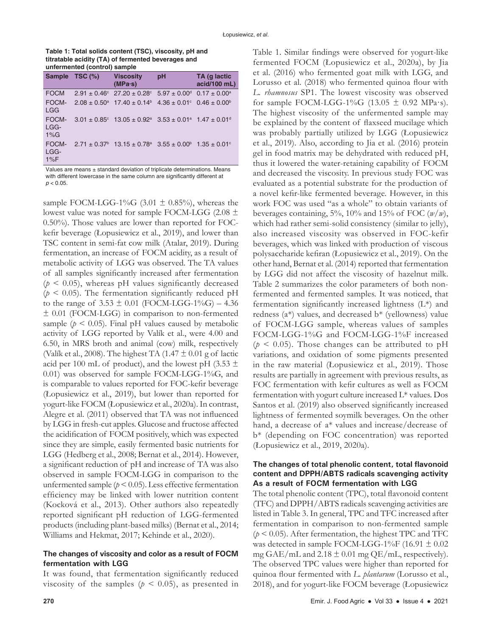| Table 1: Total solids content (TSC), viscosity, pH and |
|--------------------------------------------------------|
| titratable acidity (TA) of fermented beverages and     |
| unfermented (control) sample                           |

|                          | Sample TSC (%) | <b>Viscosity</b><br>$(MPa-s)$                                                                                   | pH | TA (q lactic<br>acid/100 mL) |
|--------------------------|----------------|-----------------------------------------------------------------------------------------------------------------|----|------------------------------|
| <b>FOCM</b>              |                | $2.91 \pm 0.46^{\circ}$ 27.20 $\pm$ 0.28° 5.97 $\pm$ 0.00 <sup>d</sup> 0.17 $\pm$ 0.00 <sup>a</sup>             |    |                              |
| FOCM-<br><b>LGG</b>      |                | $2.08 \pm 0.50^{\circ}$ 17.40 $\pm 0.14^{\circ}$ 4.36 $\pm 0.01^{\circ}$ 0.46 $\pm 0.00^{\circ}$                |    |                              |
| FOCM-<br>LGG-<br>$1\%$ G |                | $3.01 \pm 0.85^{\circ}$ 13.05 $\pm$ 0.92 <sup>a</sup> 3.53 $\pm$ 0.01 <sup>a</sup> 1.47 $\pm$ 0.01 <sup>d</sup> |    |                              |
| FOCM-<br>LGG-<br>$1\%F$  |                | $2.71 \pm 0.37^{\circ}$ 13.15 $\pm$ 0.78 <sup>a</sup> 3.55 $\pm$ 0.00 <sup>b</sup> 1.35 $\pm$ 0.01 <sup>c</sup> |    |                              |

Values are means ± standard deviation of triplicate determinations. Means with different lowercase in the same column are significantly different at  $p < 0.05$ .

sample FOCM-LGG-1%G (3.01  $\pm$  0.85%), whereas the lowest value was noted for sample FOCM-LGG (2.08 ± 0.50%). Those values are lower than reported for FOCkefir beverage (Łopusiewicz et al., 2019), and lower than TSC content in semi-fat cow milk (Atalar, 2019). During fermentation, an increase of FOCM acidity, as a result of metabolic activity of LGG was observed. The TA values of all samples significantly increased after fermentation  $(p < 0.05)$ , whereas pH values significantly decreased ( $p \leq 0.05$ ). The fermentation significantly reduced pH to the range of  $3.53 \pm 0.01$  (FOCM-LGG-1%G) – 4.36 ± 0.01 (FOCM-LGG) in comparison to non-fermented sample ( $p < 0.05$ ). Final pH values caused by metabolic activity of LGG reported by Valík et al., were 4.00 and 6.50, in MRS broth and animal (cow) milk, respectively (Valík et al., 2008). The highest TA (1.47  $\pm$  0.01 g of lactic acid per 100 mL of product), and the lowest pH (3.53  $\pm$ 0.01) was observed for sample FOCM-LGG-1%G, and is comparable to values reported for FOC-kefir beverage (Łopusiewicz et al., 2019), but lower than reported for yogurt-like FOCM (Łopusiewicz et al., 2020a). In contrast, Alegre et al. (2011) observed that TA was not influenced by LGG in fresh-cut apples. Glucose and fructose affected the acidification of FOCM positively, which was expected since they are simple, easily fermented basic nutrients for LGG (Hedberg et al., 2008; Bernat et al., 2014). However, a significant reduction of pH and increase of TA was also observed in sample FOCM-LGG in comparison to the unfermented sample  $(p < 0.05)$ . Less effective fermentation efficiency may be linked with lower nutrition content (Kocková et al., 2013). Other authors also repeatedly reported significant pH reduction of LGG-fermented products (including plant-based milks) (Bernat et al., 2014; Williams and Hekmat, 2017; Kehinde et al., 2020).

# **The changes of viscosity and color as a result of FOCM fermentation with LGG**

It was found, that fermentation significantly reduced viscosity of the samples ( $p < 0.05$ ), as presented in Table 1. Similar findings were observed for yogurt-like fermented FOCM (Łopusiewicz et al., 2020a), by Jia et al. (2016) who fermented goat milk with LGG, and Lorusso et al. (2018) who fermented quinoa flour with *L. rhamnosus* SP1. The lowest viscosity was observed for sample FOCM-LGG-1%G (13.05  $\pm$  0.92 MPa·s). The highest viscosity of the unfermented sample may be explained by the content of flaxseed mucilage which was probably partially utilized by LGG (Łopusiewicz et al., 2019). Also, according to Jia et al. (2016) protein gel in food matrix may be dehydrated with reduced pH, thus it lowered the water-retaining capability of FOCM and decreased the viscosity. In previous study FOC was evaluated as a potential substrate for the production of a novel kefir-like fermented beverage. However, in this work FOC was used "as a whole" to obtain variants of beverages containing,  $5\%$ ,  $10\%$  and  $15\%$  of FOC  $(w/w)$ , which had rather semi-solid consistency (similar to jelly), also increased viscosity was observed in FOC-kefir beverages, which was linked with production of viscous polysaccharide kefiran (Łopusiewicz et al., 2019). On the other hand, Bernat et al. (2014) reported that fermentation by LGG did not affect the viscosity of hazelnut milk. Table 2 summarizes the color parameters of both nonfermented and fermented samples. It was noticed, that fermentation significantly increased lightness (L\*) and redness  $(a^*)$  values, and decreased  $b^*$  (yellowness) value of FOCM-LGG sample, whereas values of samples FOCM-LGG-1%G and FOCM-LGG-1%F increased  $(p < 0.05)$ . Those changes can be attributed to pH variations, and oxidation of some pigments presented in the raw material (Łopusiewicz et al., 2019). Those results are partially in agreement with previous results, as FOC fermentation with kefir cultures as well as FOCM fermentation with yogurt culture increased L\* values. Dos Santos et al. (2019) also observed significantly increased lightness of fermented soymilk beverages. On the other hand, a decrease of a\* values and increase/decrease of b\* (depending on FOC concentration) was reported (Łopusiewicz et al., 2019, 2020a).

# **The changes of total phenolic content, total flavonoid content and DPPH/ABTS radicals scavenging activity As a result of FOCM fermentation with LGG**

The total phenolic content (TPC), total flavonoid content (TFC) and DPPH/ABTS radicals scavenging activities are listed in Table 3. In general, TPC and TFC increased after fermentation in comparison to non-fermented sample  $(p < 0.05)$ . After fermentation, the highest TPC and TFC was detected in sample FOCM-LGG-1%F (16.91  $\pm$  0.02 mg GAE/mL and  $2.18 \pm 0.01$  mg QE/mL, respectively). The observed TPC values were higher than reported for quinoa flour fermented with *L. plantarum* (Lorusso et al., 2018), and for yogurt-like FOCM beverage (Łopusiewicz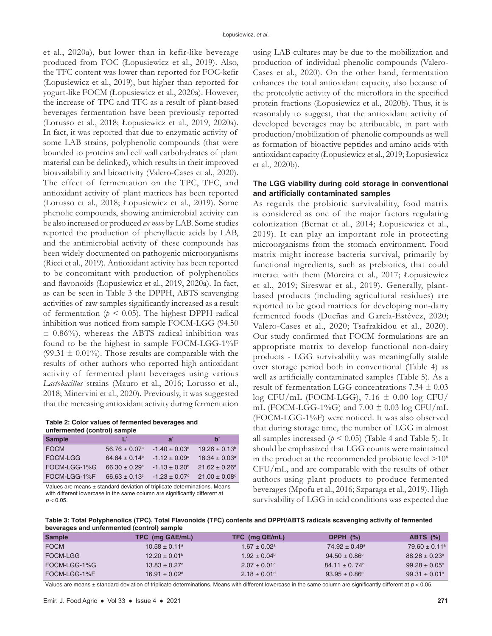et al., 2020a), but lower than in kefir-like beverage produced from FOC (Łopusiewicz et al., 2019). Also, the TFC content was lower than reported for FOC-kefir (Łopusiewicz et al., 2019), but higher than reported for yogurt-like FOCM (Łopusiewicz et al., 2020a). However, the increase of TPC and TFC as a result of plant-based beverages fermentation have been previously reported (Lorusso et al., 2018; Łopusiewicz et al., 2019, 2020a). In fact, it was reported that due to enzymatic activity of some LAB strains, polyphenolic compounds (that were bounded to proteins and cell wall carbohydrates of plant material can be delinked), which results in their improved bioavailability and bioactivity (Valero-Cases et al., 2020). The effect of fermentation on the TPC, TFC, and antioxidant activity of plant matrices has been reported (Lorusso et al., 2018; Łopusiewicz et al., 2019). Some phenolic compounds, showing antimicrobial activity can be also increased or produced *ex novo* by LAB. Some studies reported the production of phenyllactic acids by LAB, and the antimicrobial activity of these compounds has been widely documented on pathogenic microorganisms (Ricci et al., 2019). Antioxidant activity has been reported to be concomitant with production of polyphenolics and flavonoids (Łopusiewicz et al., 2019, 2020a). In fact, as can be seen in Table 3 the DPPH, ABTS scavenging activities of raw samples significantly increased as a result of fermentation  $(p < 0.05)$ . The highest DPPH radical inhibition was noticed from sample FOCM-LGG (94.50  $\pm$  0.86%), whereas the ABTS radical inhibition was found to be the highest in sample FOCM-LGG-1%F (99.31  $\pm$  0.01%). Those results are comparable with the results of other authors who reported high antioxidant activity of fermented plant beverages using various *Lactobacillus* strains (Mauro et al., 2016; Lorusso et al., 2018; Minervini et al., 2020). Previously, it was suggested that the increasing antioxidant activity during fermentation

**Table 2: Color values of fermented beverages and unfermented (control) sample**

| <b>Sample</b>   | Ľ                             | a゛                            | <sub>h</sub>                  |
|-----------------|-------------------------------|-------------------------------|-------------------------------|
| <b>FOCM</b>     | $56.76 \pm 0.07$ <sup>a</sup> | $-1.40 \pm 0.03$ <sup>d</sup> | $19.26 \pm 0.13^b$            |
| <b>FOCM-LGG</b> | $64.84 \pm 0.14^b$            | $-1.12 \pm 0.09^{\text{a}}$   | $18.34 \pm 0.03$ <sup>a</sup> |
| FOCM-LGG-1%G    | $66.30 \pm 0.29$ <sup>c</sup> | $-1.13 \pm 0.20^{\circ}$      | $21.62 \pm 0.26$ <sup>d</sup> |
| FOCM-LGG-1%F    | $66.63 \pm 0.13$ °            | $-1.23 + 0.07$ °              | $21.00 \pm 0.08$ °            |
|                 |                               |                               |                               |

Values are means ± standard deviation of triplicate determinations. Means with different lowercase in the same column are significantly different at  $p < 0.05$ .

using LAB cultures may be due to the mobilization and production of individual phenolic compounds (Valero-Cases et al., 2020). On the other hand, fermentation enhances the total antioxidant capacity, also because of the proteolytic activity of the microflora in the specified protein fractions (Łopusiewicz et al., 2020b). Thus, it is reasonably to suggest, that the antioxidant activity of developed beverages may be attributable, in part with production/mobilization of phenolic compounds as well as formation of bioactive peptides and amino acids with antioxidant capacity (Łopusiewicz et al., 2019; Łopusiewicz et al., 2020b).

# **The LGG viability during cold storage in conventional and artificially contaminated samples**

As regards the probiotic survivability, food matrix is considered as one of the major factors regulating colonization (Bernat et al., 2014; Łopusiewicz et al., 2019). It can play an important role in protecting microorganisms from the stomach environment. Food matrix might increase bacteria survival, primarily by functional ingredients, such as prebiotics, that could interact with them (Moreira et al., 2017; Łopusiewicz et al., 2019; Sireswar et al., 2019). Generally, plantbased products (including agricultural residues) are reported to be good matrices for developing non-dairy fermented foods (Dueñas and García-Estévez, 2020; Valero-Cases et al., 2020; Tsafrakidou et al., 2020). Our study confirmed that FOCM formulations are an appropriate matrix to develop functional non-dairy products - LGG survivability was meaningfully stable over storage period both in conventional (Table 4) as well as artificially contaminated samples (Table 5). As a result of fermentation LGG concentrations 7.34 ± 0.03 log CFU/mL (FOCM-LGG),  $7.16 \pm 0.00$  log CFU/ mL (FOCM-LGG-1%G) and  $7.00 \pm 0.03$  log CFU/mL (FOCM-LGG-1%F) were noticed. It was also observed that during storage time, the number of LGG in almost all samples increased  $(p < 0.05)$  (Table 4 and Table 5). It should be emphasized that LGG counts were maintained in the product at the recommended probiotic level  $>10^6$ CFU/mL, and are comparable with the results of other authors using plant products to produce fermented beverages (Mpofu et al., 2016; Szparaga et al., 2019). High survivability of LGG in acid conditions was expected due

**Table 3: Total Polyphenolics (TPC), Total Flavonoids (TFC) contents and DPPH/ABTS radicals scavenging activity of fermented beverages and unfermented (control) sample**

| <b>Sample</b> | TPC (mg GAE/mL)               | TFC (mg QE/mL)               | DPPH $(\%)$                 | ABTS $(\%)$                   |
|---------------|-------------------------------|------------------------------|-----------------------------|-------------------------------|
| <b>FOCM</b>   | $10.58 \pm 0.11^a$            | $1.67 \pm 0.02$ <sup>a</sup> | $74.92 \pm 0.49^{\text{a}}$ | $79.60 \pm 0.11$ <sup>a</sup> |
| FOCM-LGG      | $12.20 \pm 0.01^{\circ}$      | $1.92 \pm 0.04^{\circ}$      | $94.50 \pm 0.86^{\circ}$    | $88.28 \pm 0.23^b$            |
| FOCM-LGG-1%G  | $13.83 \pm 0.27$ °            | $2.07 \pm 0.01$ °            | $84.11 \pm 0.74^b$          | $99.28 \pm 0.05^{\circ}$      |
| FOCM-LGG-1%F  | $16.91 \pm 0.02$ <sup>d</sup> | $2.18 \pm 0.01$ <sup>d</sup> | $93.95 \pm 0.86^{\circ}$    | 99.31 $\pm$ 0.01°             |

Values are means ± standard deviation of triplicate determinations. Means with different lowercase in the same column are significantly different at *p* < 0.05.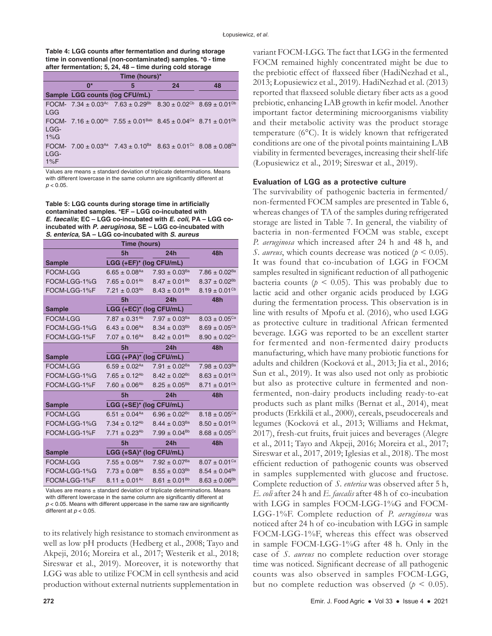| Table 4: LGG counts after fermentation and during storage  |
|------------------------------------------------------------|
| time in conventional (non-contaminated) samples. *0 - time |
| after fermentation; 5, 24, 48 – time during cold storage   |

| Time (hours)*   |                                |                                                                                                                               |                                                             |    |
|-----------------|--------------------------------|-------------------------------------------------------------------------------------------------------------------------------|-------------------------------------------------------------|----|
|                 | $0*$                           | 5                                                                                                                             | 24                                                          | 48 |
|                 | Sample LGG counts (log CFU/mL) |                                                                                                                               |                                                             |    |
| <b>LGG</b>      |                                | FOCM- 7.34 ± 0.03 <sup>Ac</sup> 7.63 ± 0.29 <sup>Bb</sup>                                                                     | $8.30 \pm 0.02$ <sup>Cb</sup> $8.69 \pm 0.01$ <sup>Db</sup> |    |
| LGG-<br>$1\%$ G |                                | FOCM- 7.16 ± 0.00 <sup>Ab</sup> 7.55 ± 0.01 <sup>Bab</sup> 8.45 ± 0.04 <sup>Ca</sup> 8.71 ± 0.01 <sup>Db</sup>                |                                                             |    |
| LGG-<br>$1\%F$  |                                | FOCM- 7.00 $\pm$ 0.03 <sup>Aa</sup> 7.43 $\pm$ 0.10 <sup>Ba</sup> 8.63 $\pm$ 0.01 <sup>Cc</sup> 8.08 $\pm$ 0.08 <sup>Da</sup> |                                                             |    |

Values are means ± standard deviation of triplicate determinations. Means with different lowercase in the same column are significantly different at  $p < 0.05$ .

**Table 5: LGG counts during storage time in artificially contaminated samples. \*EF – LGG co-incubated with**  *E. faecalis***; EC – LGG co-incubated with** *E. coli***, PA – LGG coincubated with** *P. aeruginosa,* **SE – LGG co-incubated with**  *S. enterica***, SA – LGG co-incubated with** *S. aureus*

| Time (hours)    |                               |                               |                               |  |
|-----------------|-------------------------------|-------------------------------|-------------------------------|--|
|                 | 5h                            | 24h                           | 48h                           |  |
| <b>Sample</b>   | LGG (+EF)* (log CFU/mL)       |                               |                               |  |
| <b>FOCM-LGG</b> | $6.65 \pm 0.08$ <sup>Aa</sup> | $7.93 \pm 0.03^{Ba}$          | $7.86 \pm 0.02^{Ba}$          |  |
| FOCM-LGG-1%G    | $7.65 \pm 0.01^{Ab}$          | $8.47 \pm 0.01^{Bb}$          | $8.37 \pm 0.02^{Bb}$          |  |
| FOCM-LGG-1%F    | $7.21 \pm 0.03^{Ab}$          | $8.43 \pm 0.01^{Bb}$          | $8.19 \pm 0.01$ <sup>Cb</sup> |  |
|                 | 5h                            | 24h                           | 48h                           |  |
| <b>Sample</b>   | LGG (+EC)* (log CFU/mL)       |                               |                               |  |
| <b>FOCM-LGG</b> | $7.87 \pm 0.31^{Ab}$          | $7.97 \pm 0.03^{Ba}$          | $8.03 \pm 0.05$ <sup>Ca</sup> |  |
| FOCM-LGG-1%G    | $6.43 \pm 0.06^{Aa}$          | $8.34 \pm 0.03^{Bb}$          | $8.69 \pm 0.05^{\text{Cb}}$   |  |
| FOCM-LGG-1%F    | $7.07 \pm 0.16$ <sup>Aa</sup> | $8.42 \pm 0.01^{Bb}$          | $8.90 \pm 0.02$ <sup>Cc</sup> |  |
|                 | 5h                            | 24h                           | 48h                           |  |
| <b>Sample</b>   | LGG (+PA)* (log CFU/mL)       |                               |                               |  |
| <b>FOCM-LGG</b> | $6.59 \pm 0.02$ <sup>Aa</sup> | $7.91 \pm 0.02$ <sup>Ba</sup> | $7.98 \pm 0.03^{Ba}$          |  |
| FOCM-LGG-1%G    | $7.65 \pm 0.12^{Ab}$          | $8.42 \pm 0.02$ <sup>Bc</sup> | $8.63 \pm 0.01$ <sup>Cb</sup> |  |
| FOCM-LGG-1%F    | $7.60 \pm 0.06^{Ab}$          | $8.25 \pm 0.05^{Bb}$          | $8.71 \pm 0.01$ <sup>Cb</sup> |  |
|                 | 5h                            | 24h                           | 48h                           |  |
| <b>Sample</b>   | LGG (+SE)* (log CFU/mL)       |                               |                               |  |
| <b>FOCM-LGG</b> | $6.51 \pm 0.04$ <sup>Aa</sup> | $6.96 \pm 0.02$ <sup>Bc</sup> | $8.18 \pm 0.05$ <sup>Ca</sup> |  |
| FOCM-LGG-1%G    | $7.34 \pm 0.12^{Ab}$          | $8.44 \pm 0.03^{Ba}$          | $8.50 \pm 0.01$ <sup>Cb</sup> |  |
| FOCM-LGG-1%F    | $7.71 \pm 0.23^{Ab}$          | $7.99 \pm 0.04^{Bb}$          | $8.68 \pm 0.05$ <sup>cc</sup> |  |
|                 | 5h                            | 24h                           | 48h                           |  |
| <b>Sample</b>   | LGG (+SA)* (log CFU/mL)       |                               |                               |  |
| <b>FOCM-LGG</b> | $7.55 \pm 0.05^{Aa}$          | $7.92 \pm 0.07$ <sup>Ba</sup> | $8.07 \pm 0.01$ <sup>Ca</sup> |  |
| FOCM-LGG-1%G    | $7.73 \pm 0.08$ <sup>Ab</sup> | $8.55 \pm 0.03^{Bb}$          | $8.54 \pm 0.04^{Bb}$          |  |
| FOCM-LGG-1%F    | $8.11 \pm 0.01$ <sup>Ac</sup> | $8.61 \pm 0.01^{Bb}$          | $8.63 \pm 0.06^{Bb}$          |  |

Values are means  $\pm$  standard deviation of triplicate determinations. Means with different lowercase in the same column are significantly different at *p* < 0.05. Means with different uppercase in the same raw are significantly different at  $p < 0.05$ .

to its relatively high resistance to stomach environment as well as low pH products (Hedberg et al., 2008; Tayo and Akpeji, 2016; Moreira et al., 2017; Westerik et al., 2018; Sireswar et al., 2019). Moreover, it is noteworthy that LGG was able to utilize FOCM in cell synthesis and acid production without external nutrients supplementation in

variant FOCM-LGG. The fact that LGG in the fermented FOCM remained highly concentrated might be due to the prebiotic effect of flaxseed fiber (HadiNezhad et al., 2013; Łopusiewicz et al., 2019). HadiNezhad et al. (2013) reported that flaxseed soluble dietary fiber acts as a good prebiotic, enhancing LAB growth in kefir model. Another important factor determining microorganisms viability and their metabolic activity was the product storage temperature (6°C). It is widely known that refrigerated conditions are one of the pivotal points maintaining LAB viability in fermented beverages, increasing their shelf-life (Łopusiewicz et al., 2019; Sireswar et al., 2019).

#### **Evaluation of LGG as a protective culture**

The survivability of pathogenic bacteria in fermented/ non-fermented FOCM samples are presented in Table 6, whereas changes of TA of the samples during refrigerated storage are listed in Table 7. In general, the viability of bacteria in non-fermented FOCM was stable, except *P. aeruginosa* which increased after 24 h and 48 h, and *S. aureus*, which counts decrease was noticed (*p* < 0.05). It was found that co-incubation of LGG in FOCM samples resulted in significant reduction of all pathogenic bacteria counts ( $p < 0.05$ ). This was probably due to lactic acid and other organic acids produced by LGG during the fermentation process. This observation is in line with results of Mpofu et al. (2016), who used LGG as protective culture in traditional African fermented beverage. LGG was reported to be an excellent starter for fermented and non-fermented dairy products manufacturing, which have many probiotic functions for adults and children (Kocková et al., 2013; Jia et al., 2016; Sun et al., 2019). It was also used not only as probiotic but also as protective culture in fermented and nonfermented, non-dairy products including ready-to-eat products such as plant milks (Bernat et al., 2014), meat products (Erkkilä et al., 2000), cereals, pseudocereals and legumes (Kocková et al., 2013; Williams and Hekmat, 2017), fresh-cut fruits, fruit juices and beverages (Alegre et al., 2011; Tayo and Akpeji, 2016; Moreira et al., 2017; Sireswar et al., 2017, 2019; Iglesias et al., 2018). The most efficient reduction of pathogenic counts was observed in samples supplemented with glucose and fructose. Complete reduction of *S. enterica* was observed after 5 h, *E. coli* after 24 h and *E. faecalis* after 48 h of co-incubation with LGG in samples FOCM-LGG-1%G and FOCM-LGG-1%F. Complete reduction of *P. aeruginosa* was noticed after 24 h of co-incubation with LGG in sample FOCM-LGG-1%F, whereas this effect was observed in sample FOCM-LGG-1%G after 48 h. Only in the case of *S. aureus* no complete reduction over storage time was noticed. Significant decrease of all pathogenic counts was also observed in samples FOCM-LGG, but no complete reduction was observed ( $p < 0.05$ ).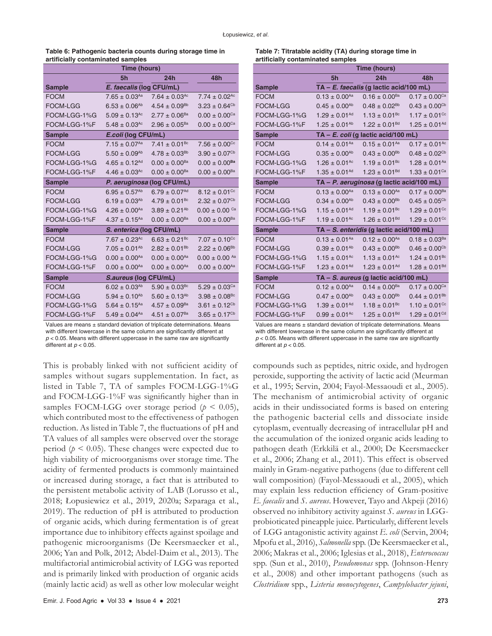| Table 6: Pathogenic bacteria counts during storage time in |  |
|------------------------------------------------------------|--|
| artificially contaminated samples                          |  |

| Time (hours)    |                               |                               |                               |  |
|-----------------|-------------------------------|-------------------------------|-------------------------------|--|
|                 | 5h                            | 24h                           | 48h                           |  |
| <b>Sample</b>   | E. faecalis (log CFU/mL)      |                               |                               |  |
| <b>FOCM</b>     | $7.65 \pm 0.03^{Aa}$          | $7.64 \pm 0.03$ <sup>Ac</sup> | $7.74 \pm 0.02$ <sup>Ac</sup> |  |
| <b>FOCM-LGG</b> | $6.53 \pm 0.06^{Ab}$          | $4.54 \pm 0.09^{Bb}$          | $3.23 \pm 0.64^{\text{Cb}}$   |  |
| FOCM-LGG-1%G    | $5.09 \pm 0.13$ <sup>Ac</sup> | $2.77 \pm 0.06^{Ba}$          | $0.00 \pm 0.00^{\text{Ca}}$   |  |
| FOCM-LGG-1%F    | $5.48 \pm 0.03$ <sup>Ac</sup> | $2.96 \pm 0.05^{Ba}$          | $0.00 \pm 0.00^{\text{Ca}}$   |  |
| <b>Sample</b>   | E.coli (log CFU/mL)           |                               |                               |  |
| <b>FOCM</b>     | $7.15 \pm 0.07^{Aa}$          | $7.41 \pm 0.01^{Bc}$          | $7.56 \pm 0.00$ <sup>cc</sup> |  |
| <b>FOCM-LGG</b> | $5.50 \pm 0.09^{Ab}$          | $4.78 \pm 0.03^{Bb}$          | $3.90 \pm 0.07^{\text{Cb}}$   |  |
| FOCM-LGG-1%G    | $4.65 \pm 0.12^{Ad}$          | $0.00 \pm 0.00^{Ba}$          | $0.00 \pm 0.00^{Ba}$          |  |
| FOCM-LGG-1%F    | $4.46 \pm 0.03$ <sup>Ac</sup> | $0.00 \pm 0.00^{Ba}$          | $0.00 \pm 0.00^{Ba}$          |  |
| <b>Sample</b>   |                               | P. aeruginosa (log CFU/mL)    |                               |  |
| <b>FOCM</b>     | $6.95 \pm 0.57^{Ab}$          | $6.79 \pm 0.07^{Ad}$          | $8.12 \pm 0.01$ <sup>cc</sup> |  |
| <b>FOCM-LGG</b> | $6.19 \pm 0.03^{Ab}$          | $4.79 \pm 0.01$ <sup>Bc</sup> | $2.32 \pm 0.07$ <sup>Cb</sup> |  |
| FOCM-LGG-1%G    | $4.26 \pm 0.00^{Aa}$          | $3.89 \pm 0.21^{Ab}$          | $0.00\pm0.00$ $^{\rm Ca}$     |  |
| FOCM-LGG-1%F    | $4.37 \pm 0.15$ <sup>Aa</sup> | $0.00 \pm 0.00^{Ba}$          | $0.00 \pm 0.00^{Ba}$          |  |
| <b>Sample</b>   | S. enterica (log CFU/mL)      |                               |                               |  |
| <b>FOCM</b>     | $7.67 \pm 0.23$ <sup>Ac</sup> | $6.63 \pm 0.21$ <sup>Bc</sup> | $7.07 \pm 0.10$ <sup>Cc</sup> |  |
| FOCM-LGG        | $7.05 \pm 0.01^{Ab}$          | $2.82 \pm 0.01^{Bb}$          | $2.22 \pm 0.06^{Bb}$          |  |
| FOCM-LGG-1%G    | $0.00 \pm 0.00^{Aa}$          | $0.00 \pm 0.00^{Aa}$          | $0.00 \pm 0.00$ Aa            |  |
| FOCM-LGG-1%F    | $0.00 \pm 0.00^{Aa}$          | $0.00 \pm 0.00^{Aa}$          | $0.00 \pm 0.00^{Aa}$          |  |
| <b>Sample</b>   | S.aureus (log CFU/mL)         |                               |                               |  |
| <b>FOCM</b>     | $6.02 \pm 0.03^{Ab}$          | $5.90 \pm 0.03$ <sup>Bc</sup> | $5.29 \pm 0.03$ <sup>Ca</sup> |  |
| <b>FOCM-LGG</b> | $5.94 \pm 0.10^{Ab}$          | $5.60 \pm 0.13^{Ab}$          | $3.98 \pm 0.08$ <sup>Bc</sup> |  |
| FOCM-LGG-1%G    | $5.64 \pm 0.15^{Aa}$          | $4.57 \pm 0.09^{Ba}$          | $3.61 \pm 0.12$ <sup>Cb</sup> |  |
| FOCM-LGG-1%F    | $5.49 \pm 0.04^{Aa}$          | $4.51 \pm 0.07$ <sup>Ba</sup> | $3.65 \pm 0.17$ <sup>Cb</sup> |  |

Values are means ± standard deviation of triplicate determinations. Means with different lowercase in the same column are significantly different at *p* < 0.05. Means with different uppercase in the same raw are significantly different at  $p < 0.05$ .

This is probably linked with not sufficient acidity of samples without sugars supplementation. In fact, as listed in Table 7, TA of samples FOCM-LGG-1%G and FOCM-LGG-1%F was significantly higher than in samples FOCM-LGG over storage period ( $p < 0.05$ ), which contributed most to the effectiveness of pathogen reduction. As listed in Table 7, the fluctuations of pH and TA values of all samples were observed over the storage period ( $p \leq 0.05$ ). These changes were expected due to high viability of microorganisms over storage time. The acidity of fermented products is commonly maintained or increased during storage, a fact that is attributed to the persistent metabolic activity of LAB (Lorusso et al., 2018; Łopusiewicz et al., 2019, 2020a; Szparaga et al., 2019). The reduction of pH is attributed to production of organic acids, which during fermentation is of great importance due to inhibitory effects against spoilage and pathogenic microorganisms (De Keersmaecker et al., 2006; Yan and Polk, 2012; Abdel-Daim et al., 2013). The multifactorial antimicrobial activity of LGG was reported and is primarily linked with production of organic acids (mainly lactic acid) as well as other low molecular weight

| Table 7: Titratable acidity (TA) during storage time in |  |
|---------------------------------------------------------|--|
| artificially contaminated samples                       |  |

|                 | Time (hours)                  |                                           |                               |
|-----------------|-------------------------------|-------------------------------------------|-------------------------------|
|                 | 5h                            | 24h                                       | 48h                           |
| <b>Sample</b>   |                               | TA - E. faecalis (g lactic acid/100 mL)   |                               |
| <b>FOCM</b>     | $0.13 \pm 0.00^{Aa}$          | $0.16 \pm 0.00^{Ba}$                      | $0.17 \pm 0.00$ <sup>Ca</sup> |
| <b>FOCM-LGG</b> | $0.45 \pm 0.00^{Ab}$          | $0.48 \pm 0.02^{Bb}$                      | $0.43 \pm 0.00^{\text{Cb}}$   |
| FOCM-LGG-1%G    | $1.29 \pm 0.01^{Ad}$          | $1.13 \pm 0.01^{Bc}$                      | $1.17 \pm 0.01$ <sup>Cc</sup> |
| FOCM-LGG-1%F    | $1.25 \pm 0.01^{Ab}$          | $1.22 \pm 0.01^{Bd}$                      | $1.25 \pm 0.01^{Ad}$          |
| <b>Sample</b>   |                               | $TA - E$ . coli (g lactic acid/100 mL)    |                               |
| <b>FOCM</b>     | $0.14 \pm 0.01^{Aa}$          | $0.15 \pm 0.01^{Aa}$                      | $0.17 \pm 0.01^{Ac}$          |
| <b>FOCM-LGG</b> | $0.35 \pm 0.00^{Ab}$          | $0.43 \pm 0.00^{Bb}$                      | $0.48 \pm 0.02$ <sup>Cb</sup> |
| FOCM-LGG-1%G    | $1.26 \pm 0.01$ <sup>Ac</sup> | $1.19 \pm 0.01$ <sup>Bc</sup>             | $1.28 \pm 0.01$ <sup>Aa</sup> |
| FOCM-LGG-1%F    | $1.35 \pm 0.01^{Ad}$          | $1.23 \pm 0.01^{Bd}$                      | $1.33 \pm 0.01$ <sup>Ca</sup> |
| <b>Sample</b>   |                               | TA - P. aeruginosa (g lactic acid/100 mL) |                               |
| <b>FOCM</b>     | $0.13 \pm 0.00^{Aa}$          | $0.13 \pm 0.00^{Aa}$                      | $0.17 \pm 0.00$ <sup>Ba</sup> |
| <b>FOCM-LGG</b> | $0.34 \pm 0.00^{Ab}$          | $0.43 \pm 0.00^{Bb}$                      | $0.45 \pm 0.05^{\text{Cb}}$   |
| FOCM-LGG-1%G    | $1.15 \pm 0.01^{Ad}$          | $1.19 \pm 0.01$ <sup>Bc</sup>             | $1.29 \pm 0.01$ <sup>Cc</sup> |
| FOCM-LGG-1%F    | $1.19 \pm 0.01$ <sup>Ac</sup> | $1.26 \pm 0.01^{Bd}$                      | $1.29 \pm 0.01$ <sup>Cc</sup> |
| <b>Sample</b>   |                               | TA - S. enteridis (g lactic acid/100 mL)  |                               |
| <b>FOCM</b>     | $0.13 \pm 0.01^{Aa}$          | $0.12 \pm 0.00^{Aa}$                      | $0.18 \pm 0.03^{Ba}$          |
| <b>FOCM-LGG</b> | $0.39 \pm 0.01^{Ab}$          | $0.43 \pm 0.00^{Bb}$                      | $0.46 \pm 0.00^{\text{Cb}}$   |
| FOCM-LGG-1%G    | $1.15 \pm 0.01$ <sup>Ac</sup> | $1.13 \pm 0.01$ <sup>Ac</sup>             | $1.24 \pm 0.01^{Bc}$          |
| FOCM-LGG-1%F    | $1.23 \pm 0.01^{Ad}$          | $1.23 \pm 0.01^{Ad}$                      | $1.28 \pm 0.01^{Bd}$          |
| <b>Sample</b>   |                               | TA - S. aureus (g lactic acid/100 mL)     |                               |
| <b>FOCM</b>     | $0.12 \pm 0.00^{Aa}$          | $0.14 \pm 0.00^{Ba}$                      | $0.17 \pm 0.00$ <sup>Ca</sup> |
| <b>FOCM-LGG</b> | $0.47 \pm 0.00^{Ab}$          | $0.43 \pm 0.00^{Bb}$                      | $0.44 \pm 0.01^{Bb}$          |
| FOCM-LGG-1%G    | $1.39 \pm 0.01^{Ad}$          | $1.18 \pm 0.01^{Bc}$                      | $1.10 \pm 0.01$ <sup>Cc</sup> |
| FOCM-LGG-1%F    | $0.99 \pm 0.01^{Ac}$          | $1.25 \pm 0.01^{Bd}$                      | $1.29 \pm 0.01$ <sup>Cd</sup> |

Values are means ± standard deviation of triplicate determinations. Means with different lowercase in the same column are significantly different at  $p$  < 0.05. Means with different uppercase in the same raw are significantly different at  $p < 0.05$ .

compounds such as peptides, nitric oxide, and hydrogen peroxide, supporting the activity of lactic acid (Meurman et al., 1995; Servin, 2004; Fayol-Messaoudi et al., 2005). The mechanism of antimicrobial activity of organic acids in their undissociated forms is based on entering the pathogenic bacterial cells and dissociate inside cytoplasm, eventually decreasing of intracellular pH and the accumulation of the ionized organic acids leading to pathogen death (Erkkilä et al., 2000; De Keersmaecker et al., 2006; Zhang et al., 2011). This effect is observed mainly in Gram-negative pathogens (due to different cell wall composition) (Fayol-Messaoudi et al., 2005), which may explain less reduction efficiency of Gram-positive *E. faecalis* and *S. aureus*. However, Tayo and Akpeji (2016) observed no inhibitory activity against *S. aureus* in LGGprobioticated pineapple juice. Particularly, different levels of LGG antagonistic activity against *E. coli* (Servin, 2004; Mpofu et al., 2016), *Salmonella* spp. (De Keersmaecker et al., 2006; Makras et al., 2006; Iglesias et al., 2018), *Enterococcus* spp. (Sun et al., 2010), *Pseudomonas* spp. (Johnson-Henry et al., 2008) and other important pathogens (such as *Clostridium* spp., *Listeria monocytogenes*, *Campylobacter jejuni*,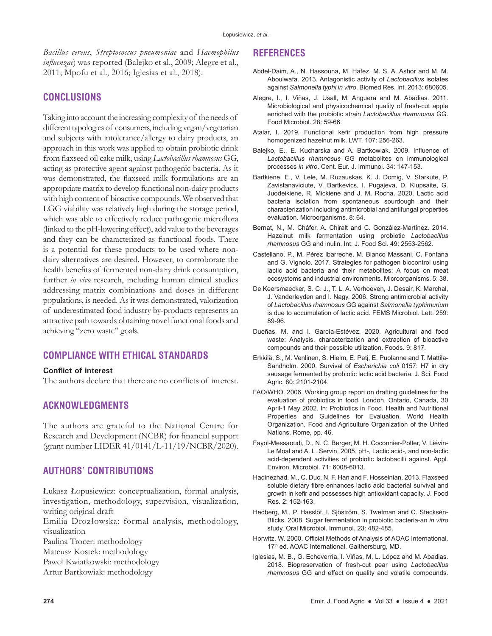*Bacillus cereus*, *Streptococcus pneumoniae* and *Haemophilus influenzae*) was reported (Balejko et al., 2009; Alegre et al., 2011; Mpofu et al., 2016; Iglesias et al., 2018).

# **CONCLUSIONS**

Taking into account the increasing complexity of the needs of different typologies of consumers, including vegan/vegetarian and subjects with intolerance/allergy to dairy products, an approach in this work was applied to obtain probiotic drink from flaxseed oil cake milk, using *Lactobacillus rhamnosus* GG, acting as protective agent against pathogenic bacteria. As it was demonstrated, the flaxseed milk formulations are an appropriate matrix to develop functional non-dairy products with high content of bioactive compounds. We observed that LGG viability was relatively high during the storage period, which was able to effectively reduce pathogenic microflora (linked to the pH-lowering effect), add value to the beverages and they can be characterized as functional foods. There is a potential for these products to be used where nondairy alternatives are desired. However, to corroborate the health benefits of fermented non-dairy drink consumption, further *in vivo* research, including human clinical studies addressing matrix combinations and doses in different populations, is needed. As it was demonstrated, valorization of underestimated food industry by-products represents an attractive path towards obtaining novel functional foods and achieving "zero waste" goals.

# **COMPLIANCE WITH ETHICAL STANDARDS**

### **Conflict of interest**

The authors declare that there are no conflicts of interest.

# **ACKNOWLEDGMENTS**

The authors are grateful to the National Centre for Research and Development (NCBR) for financial support (grant number LIDER 41/0141/L-11/19/NCBR/2020).

# **AUTHORS' CONTRIBUTIONS**

Łukasz Łopusiewicz: conceptualization, formal analysis, investigation, methodology, supervision, visualization, writing original draft

Emilia Drozłowska: formal analysis, methodology, visualization

- Paulina Trocer: methodology
- Mateusz Kostek: methodology
- Paweł Kwiatkowski: methodology
- Artur Bartkowiak: methodology

# **REFERENCES**

- Abdel-Daim, A., N. Hassouna, M. Hafez, M. S. A. Ashor and M. M. Aboulwafa. 2013. Antagonistic activity of *Lactobacillus* isolates against *Salmonella typhi in vitro*. Biomed Res. Int. 2013: 680605.
- Alegre, I., I. Viñas, J. Usall, M. Anguera and M. Abadias. 2011. Microbiological and physicochemical quality of fresh-cut apple enriched with the probiotic strain *Lactobacillus rhamnosus* GG. Food Microbiol. 28: 59-66.
- Atalar, I. 2019. Functional kefir production from high pressure homogenized hazelnut milk. LWT. 107: 256-263.
- Balejko, E., E. Kucharska and A. Bartkowiak. 2009. Influence of *Lactobacillus rhamnosus* GG metabolites on immunological processes *in vitro*. Cent. Eur. J. Immunol. 34: 147-153.
- Bartkiene, E., V. Lele, M. Ruzauskas, K. J. Domig, V. Starkute, P. Zavistanaviciute, V. Bartkevics, I. Pugajeva, D. Klupsaite, G. Juodeikiene, R. Mickiene and J. M. Rocha. 2020. Lactic acid bacteria isolation from spontaneous sourdough and their characterization including antimicrobial and antifungal properties evaluation. Microorganisms. 8: 64.
- Bernat, N., M. Cháfer, A. Chiralt and C. González-Martínez. 2014. Hazelnut milk fermentation using probiotic *Lactobacillus rhamnosus* GG and inulin. Int. J. Food Sci. 49: 2553-2562.
- Castellano, P., M. Pérez Ibarreche, M. Blanco Massani, C. Fontana and G. Vignolo. 2017. Strategies for pathogen biocontrol using lactic acid bacteria and their metabolites: A focus on meat ecosystems and industrial environments. Microorganisms. 5: 38.
- De Keersmaecker, S. C. J., T. L. A. Verhoeven, J. Desair, K. Marchal, J. Vanderleyden and I. Nagy. 2006. Strong antimicrobial activity of *Lactobacillus rhamnosus* GG against *Salmonella typhimurium* is due to accumulation of lactic acid. FEMS Microbiol. Lett. 259: 89-96.
- Dueñas, M. and I. García-Estévez. 2020. Agricultural and food waste: Analysis, characterization and extraction of bioactive compounds and their possible utilization. Foods. 9: 817.
- Erkkilä, S., M. Venlinen, S. Hielm, E. Petj, E. Puolanne and T. Mattila-Sandholm. 2000. Survival of *Escherichia coli* 0157: H7 in dry sausage fermented by probiotic lactic acid bacteria. J. Sci. Food Agric. 80: 2101-2104.
- FAO/WHO. 2006. Working group report on drafting guidelines for the evaluation of probiotics in food, London, Ontario, Canada, 30 April-1 May 2002. In: Probiotics in Food. Health and Nutritional Properties and Guidelines for Evaluation. World Health Organization, Food and Agriculture Organization of the United Nations, Rome, pp. 46.
- Fayol-Messaoudi, D., N. C. Berger, M. H. Coconnier-Polter, V. Liévin-Le Moal and A. L. Servin. 2005. pH-, Lactic acid-, and non-lactic acid-dependent activities of probiotic lactobacilli against. Appl. Environ. Microbiol. 71: 6008-6013.
- Hadinezhad, M., C. Duc, N. F. Han and F. Hosseinian. 2013. Flaxseed soluble dietary fibre enhances lactic acid bacterial survival and growth in kefir and possesses high antioxidant capacity. J. Food Res. 2: 152-163.
- Hedberg, M., P. Hasslöf, I. Sjöström, S. Twetman and C. Stecksén-Blicks. 2008. Sugar fermentation in probiotic bacteria-an *in vitro* study. Oral Microbiol. Immunol. 23: 482-485.
- Horwitz, W. 2000. Official Methods of Analysis of AOAC International. 17<sup>th</sup> ed. AOAC International, Gaithersburg, MD.
- Iglesias, M. B., G. Echeverría, I. Viñas, M. L. López and M. Abadias. 2018. Biopreservation of fresh-cut pear using *Lactobacillus rhamnosus* GG and effect on quality and volatile compounds.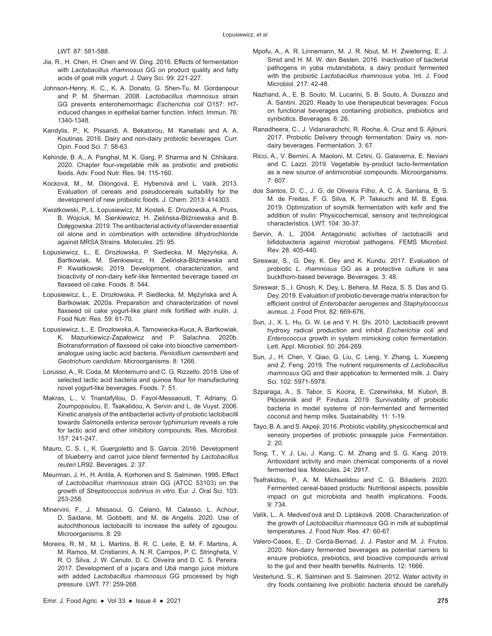LWT. 87: 581-588.

- Jia, R., H. Chen, H. Chen and W. Ding. 2016. Effects of fermentation with *Lactobacillus rhamnosus* GG on product quality and fatty acids of goat milk yogurt. J. Dairy Sci. 99: 221-227.
- Johnson-Henry, K. C., K. A. Donato, G. Shen-Tu, M. Gordanpour and P. M. Sherman. 2008. *Lactobacillus rhamnosus* strain GG prevents enterohemorrhagic *Escherichia coli* O157: H7 induced changes in epithelial barrier function. Infect. Immun. 76: 1340-1348.
- Kandylis, P., K. Pissaridi, A. Bekatorou, M. Kanellaki and A. A. Koutinas. 2016. Dairy and non-dairy probiotic beverages. Curr. Opin. Food Sci. 7: 58-63.
- Kehinde, B. A., A. Panghal, M. K. Garg, P. Sharma and N. Chhikara. 2020. Chapter four-vegetable milk as probiotic and prebiotic foods. Adv. Food Nutr. Res. 94: 115-160.
- Kocková, M., M. Dilongová, E. Hybenová and L. Valík. 2013. Evaluation of cereals and pseudocereals suitability for the development of new probiotic foods. J. Chem. 2013: 414303.
- Kwiatkowski, P., Ł. Łopusiewicz, M. Kostek, E. Drozłowska, A. Pruss, B. Wojciuk, M. Sienkiewicz, H. Zielińska-Bliźniewska and B. Dołęgowska. 2019. The antibacterial activity of lavender essential oil alone and in combination with octenidine dihydrochloride against MRSA Strains. Molecules. 25: 95.
- Łopusiewicz, Ł., E. Drozłowska, P. Siedlecka, M. Mężyńska, A. Bartkowiak, M. Sienkiewicz, H. Zielińska-Bliźniewska and P. Kwiatkowski. 2019. Development, characterization, and bioactivity of non-dairy kefir-like fermented beverage based on flaxseed oil cake. Foods. 8: 544.
- Łopusiewicz, Ł., E. Drozłowska, P. Siedlecka, M. Mężyńska and A. Bartkowiak. 2020a. Preparation and characterization of novel flaxseed oil cake yogurt-like plant milk fortified with inulin. J. Food Nutr. Res. 59: 61-70.
- Łopusiewicz, Ł., E. Drozłowska, A. Tarnowiecka-Kuca, A. Bartkowiak, K. Mazurkiewicz-Zapałowicz and P. Salachna. 2020b. Biotransformation of flaxseed oil cake into bioactive camembertanalogue using lactic acid bacteria, *Penicillium camemberti* and *Geotrichum candidum*. Microorganisms. 8: 1266.
- Lorusso, A., R. Coda, M. Montemurro and C. G. Rizzello. 2018. Use of selected lactic acid bacteria and quinoa flour for manufacturing novel yogurt-like beverages. Foods. 7: 51.
- Makras, L., V. Triantafyllou, D. Fayol-Messaoudi, T. Adriany, G. Zoumpopoulou, E. Tsakalidou, A. Servin and L. de Vuyst. 2006. Kinetic analysis of the antibacterial activity of probiotic lactobacilli towards *Salmonella enterica* serovar typhimurium reveals a role for lactic acid and other inhibitory compounds. Res. Microbiol. 157: 241-247.
- Mauro, C. S. I., K. Guergoletto and S. Garcia. 2016. Development of blueberry and carrot juice blend fermented by *Lactobacillus reuteri* LR92. Beverages. 2: 37.
- Meurman, J. H., H. Antila, A. Korhonen and S. Salminen. 1995. Effect of *Lactobacillus rhamnosus* strain GG (ATCC 53103) on the growth of *Streptococcus sobrinus in vitro*. Eur. J. Oral Sci. 103: 253-258.
- Minervini, F., J. Missaoui, G. Celano, M. Calasso, L. Achour, D. Saidane, M. Gobbetti, and M. de Angelis. 2020. Use of autochthonous lactobacilli to increase the safety of zgougou. Microorganisms. 8: 29.
- Moreira, R. M., M. L. Martins, B. R. C. Leite, E. M. F. Martins, A. M. Ramos, M. Cristianini, A. N. R. Campos, P. C. Stringheta, V. R. O. Silva, J. W. Canuto, D. C. Oliveira and D. C. S. Pereira. 2017. Development of a juçara and Ubá mango juice mixture with added *Lactobacillus rhamnosus* GG processed by high pressure. LWT. 77: 259-268.
- Mpofu, A., A. R. Linnemann, M. J. R. Nout, M. H. Zwietering, E. J. Smid and H. M. W. den Besten. 2016. Inactivation of bacterial pathogens in yoba mutandabota, a dairy product fermented with the probiotic *Lactobacillus rhamnosus* yoba. Int. J. Food Microbiol. 217: 42-48.
- Nazhand, A., E. B. Souto, M. Lucarini, S. B. Souto, A. Durazzo and A. Santini. 2020. Ready to use therapeutical beverages: Focus on functional beverages containing probiotics, prebiotics and synbiotics. Beverages. 6: 26.
- Ranadheera, C., J. Vidanarachchi, R. Rocha, A. Cruz and S. Ajlouni. 2017. Probiotic Delivery through fermentation: Dairy vs. nondairy beverages. Fermentation. 3: 67.
- Ricci, A., V. Bernini, A. Maoloni, M. Cirlini, G. Galaverna, E. Neviani and C. Lazzi. 2019. Vegetable by-product lacto-fermentation as a new source of antimicrobial compounds. Microorganisms. 7: 607.
- dos Santos, D. C., J. G. de Oliveira Filho, A. C. A. Santana, B. S. M. de Freitas, F. G. Silva, K. P. Takeuchi and M. B. Egea. 2019. Optimization of soymilk fermentation with kefir and the addition of inulin: Physicochemical, sensory and technological characteristics. LWT. 104: 30-37.
- Servin, A. L. 2004. Antagonistic activities of lactobacilli and bifidobacteria against microbial pathogens. FEMS Microbiol. Rev. 28: 405-440.
- Sireswar, S., G. Dey, K. Dey and K. Kundu. 2017. Evaluation of probiotic *L. rhamnosus* GG as a protective culture in sea buckthorn-based beverage. Beverages. 3: 48.
- Sireswar, S., I. Ghosh, K. Dey, L. Behera, M. Reza, S. S. Das and G. Dey. 2019. Evaluation of probiotic-beverage matrix interaction for efficient control of *Enterobacter aerogenes* and *Staphylococcus aureus*. J. Food Prot. 82: 669-676.
- Sun, J., X. L. Hu, G. W. Le and Y. H. Shi. 2010. Lactobacilli prevent hydroxy radical production and inhibit *Escherichia coli* and *Enterococcus* growth in system mimicking colon fermentation. Lett. Appl. Microbiol. 50: 264-269.
- Sun, J., H. Chen, Y. Qiao, G. Liu, C. Leng, Y. Zhang, L. Xuepeng and Z. Feng. 2019. The nutrient requirements of *Lactobacillus rhamnosus* GG and their application to fermented milk. J. Dairy Sci. 102: 5971-5978.
- Szparaga, A., S. Tabor, S. Kocira, E. Czerwińska, M. Kuboń, B. Płóciennik and P. Findura. 2019. Survivability of probiotic bacteria in model systems of non-fermented and fermented coconut and hemp milks. Sustainability. 11: 1-19.
- Tayo, B. A. and S. Akpeji. 2016. Probiotic viability, physicochemical and sensory properties of probiotic pineapple juice. Fermentation. 2: 20.
- Tong, T., Y. J. Liu, J. Kang, C. M. Zhang and S. G. Kang. 2019. Antioxidant activity and main chemical components of a novel fermented tea. Molecules. 24: 2917.
- Tsafrakidou, P., A. M. Michaelidou and C. G. Biliaderis. 2020. Fermented cereal-based products: Nutritional aspects, possible impact on gut microbiota and health implications. Foods. 9: 734.
- Valík, L., A. Medved'ová and D. Liptáková. 2008. Characterization of the growth of *Lactobacillus rhamnosus* GG in milk at suboptimal temperatures. J. Food Nutr. Res. 47: 60-67.
- Valero-Cases, E., D. Cerdá-Bernad, J. J. Pastor and M. J. Frutos. 2020. Non-dairy fermented beverages as potential carriers to ensure probiotics, prebiotics, and bioactive compounds arrival to the gut and their health benefits. Nutrients. 12: 1666.
- Vesterlund, S., K. Salminen and S. Salminen. 2012. Water activity in dry foods containing live probiotic bacteria should be carefully